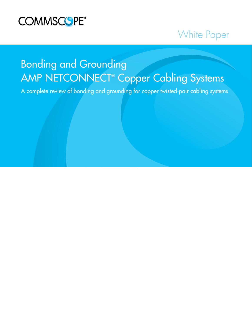

## White Paper

# Bonding and Grounding AMP NETCONNECT® Copper Cabling Systems

A complete review of bonding and grounding for copper twisted-pair cabling systems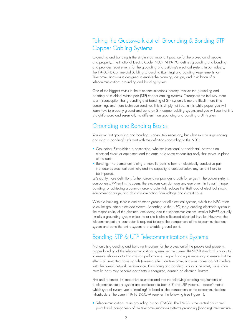## Taking the Guesswork out of Grounding & Bonding STP Copper Cabling Systems

Grounding and bonding is the single most important practice for the protection of people and property. The National Electric Code (NEC), NFPA 70, defines grounding and bonding and provides requirements for the grounding of a building's electrical system. In our industry, the TIA-607-B Commercial Building Grounding (Earthing) and Bonding Requirements for Telecommunications is designed to enable the planning, design, and installation of a telecommunications grounding and bonding system.

One of the biggest myths in the telecommunications industry involves the grounding and bonding of shielded twisted-pair (STP) copper cabling systems. Throughout the industry, there is a misconception that grounding and bonding of STP systems is more difficult, more time consuming, and more technique sensitive. This is simply not true. In this white paper, you will learn how to properly ground and bond an STP copper cabling system, and you will see that it is straightforward and essentially no different than grounding and bonding a UTP system..

#### Grounding and Bonding Basics

You know that grounding and bonding is absolutely necessary, but what exactly is grounding and what is bonding? Let's start with the definitions according to the NEC:

- Grounding: Establishing a connection, whether intentional or accidental, between an electrical circuit or equipment and the earth or to some conducting body that serves in place of the earth.
- Bonding: The permanent joining of metallic parts to form an electrically conductive path that ensures electrical continuity and the capacity to conduct safely any current likely to be imposed.

Let's clarify those definitions further. Grounding provides a path for surges in the power systems, components. When this happens, the electrons can damage any equipment in its path. Proper bonding, or achieving a common ground potential, reduces the likelihood of electrical shock, equipment damage, and data contamination from voltage and current noise.

Within a building, there is one common ground for all electrical systems, which the NEC refers to as the grounding electrode system. According to the NEC, the grounding electrode system is the responsibility of the electrical contractor, and the telecommunications installer NEVER actually installs a grounding system unless he or she is also a licensed electrical installer. However, the telecommunications contractor is required to bond the components of the telecommunications system and bond the entire system to a suitable ground point.

## Bonding STP & UTP Telecommunications Systems

Not only is grounding and bonding important for the protection of the people and property, proper bonding of the telecommunications system per the current TIA-607-B standard is also vital to ensure reliable data transmission performance. Proper bonding is necessary to ensure that the effects of unwanted noise signals (antenna effect) on telecommunications cables do not interfere with the overall network performance. Grounding and bonding is also a life safety issue since metallic parts may become accidentally energized, causing an electrical hazard.

First and foremost, it's imperative to understand that the following bonding requirements of a telecommunications system are applicable to both STP and UTP systems. It doesn't matter which type of system you're installing! To bond all the components of the telecommunications infrastructure, the current TIA J-STD-607-A requires the following (see Figure 1):

• Telecommunications main grounding busbar (TMGB): The TMGB is the central attachment point for all components of the telecommunications system's grounding (bonding) infrastructure.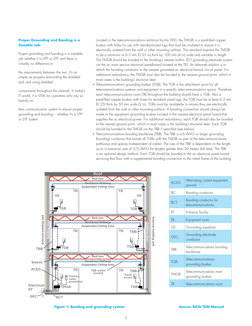#### **Proper Grounding and Bonding is a Sizeable Job.**

Proper grounding and bonding is a sizeable job whether it is UTP or STP, and there is virtually no difference in

the requirements between the two. It's as simple as properly terminating the shielded jack and using shielded

components throughout the channel. In today's IT world, it is VITAL for customers who rely so heavily on

their communication system to ensure proper grounding and bonding – whether it's a UTP or STP system.

Located in the telecommunications entrance facility (TEF), the TMGB is a predrilled copper busbar with holes for use with standard-sized lugs that must be insulated to ensure it is electrically isolated from the wall or other mounting surface. The standard requires the TMGB to be a.minimum of 6.3 mm (0.25 in) thick by 100 mm (4 in) wide and variable in length. The TMGB should be bonded to the building's nearest (within 30') grounding electrode system via the ac main service electrical panelboard located at the TEF. An alternate solution is to attach the bonding conductor to the nearest grounded ac electrical branch circuit panel. For additional redundancy, the TMGB must also be bonded to the nearest ground point, which in most cases is the building's structural steel.

- Telecommunications grounding busbar (TGB): The TGB is the attachment point for all telecommunications systems and equipment in a specific telecommunications space. Therefore, each telecommunications room (TR) throughout the building should have a TGB. Also a predrilled copper busbar with holes for standard sized lugs, the TGB must be at least 6.3 mm (0.25) thick by 50 mm wide (2 in). TGBs must be insulatedw to ensure they are electrically isolated from the wall or other mounting surface. A bonding connection should always be made to the equipment grounding busbar located in the nearest electrical panel board that supplies the ac electrical power. For additional redundancy, each TGB should also be bonded to the nearest ground point, which in most cases is the building's structural steel. Each TGB should be bonded to the TMGB via the TBB if specified (see below).
- Telecommunications bonding backbone (TBB): The TBB is a 6 AWG or larger grounding (bonding) conductor that bonds all TGBs with the TMGB as part of the telecommunications pathways and spaces (independent of cable). The size of the TBB is dependent on the length, up to a maximum size of 3/0 AWG for lengths greater than 20 meters (66 feet). The TBB is an optional design method. Each TGB should be bonded to the ac electrical panel board servicing that floor with a supplemental bonding connection to the metal frame of the building.



| ACFG: | Alternating current equipment<br>ground     |
|-------|---------------------------------------------|
| BC:   | Bonding conductor                           |
| BCT:  | Bonding conductor for<br>telecommunications |
| EF:   | Entrance facility                           |
| ER:   | Equipment room                              |
| GE:   | Grounding equalizer                         |
| GEC:  | Grounding electrode<br>conductor            |
| TBB:  | Telecommunications bonding<br>backbone      |
| TGB:  | Telecommunications<br>grounding busbar      |
| TMGB: | Telecommunications main<br>grounding busbar |
| TR:   | Telecommunications room                     |

**Figure 1: Bonding and grounding system <b>Source: BICSI TDM Manual**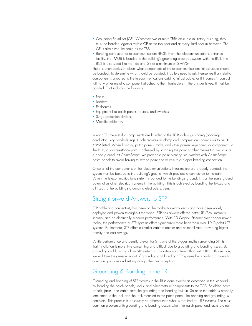- Grounding Equalizer (GE): Whenever two or more TBBs exist in a multistory building, they must be bonded together with a GE at the top floor and at every third floor in between. The GE is also sized the same as the TBB.
- Bonding conductor for telecommunications (BCT): From the telecommunications entrance facility, the TMGB is bonded to the building's grounding electrode system with the BCT. The BCT is also sized like the TBB and GE at a minimum of 6 AWG.

There is often confusion about what components of the telecommunications infrastructure should be bonded. To determine what should be bonded, installers need to ask themselves if a metallic component is attached to the telecommunications cabling infrastructure, or if it comes in contact with any other metallic component attached to the infrastructure. If the answer is yes, it must be bonded. That includes the following:

- Racks
- Ladders
- Enclosures
- Equipment like patch panels, routers, and switches
- Surge protection devices
- Metallic cable tray

In each TR, the metallic components are bonded to the TGB with a grounding (bonding) conductor using two-hole lugs. Code requires all clamp and compression connections to be UL 486A listed. When bonding patch panels, racks, and other painted equipment or components to the TGB, a low resistance path is achieved by scraping the paint or other means that will assure a good ground. At CommScope, we provide a paint piercing star washer with CommScope patch panels to avoid having to scrape paint and to ensure a proper bonding connection.

Once all of the components of the telecommunications infrastructure are properly bonded, the system must be bonded to the building's ground, which provides a connection to the earth. When the telecommunications system is bonded to the building's ground, it is at the same ground potential as other electrical systems in the building. This is achieved by bonding the TMGB and all TGBs to the building's grounding electrode system.

#### Straightforward Answers to STP

STP cable and connectivity has been on the market for many years and have been widely deployed and proven throughout the world. STP has always offered better RFI/EMI immunity, security, and an electrically superior performance. With 10 Gigabit Ethernet over copper now a reality, the performance of STP systems offers significantly more headroom over 10 Gigabit UTP systems. Furthermore, STP offers a smaller cable diameter and better fill ratio, providing higher density and cost savings.

While performance and density prevail for STP, one of the biggest myths surrounding STP is that installation is more time consuming and difficult due to grounding and bonding issues. But grounding and bonding of an STP system is absolutely no different than with UTP. In this section, we will take the guesswork out of grounding and bonding STP systems by providing answers to common questions and setting straight the misconceptions.

#### Grounding & Bonding in the TR

Grounding and bonding of STP systems in the TR is done exactly as described in the standard – by bonding the patch panels, racks, and other metallic components to the TGB. Shielded patch panels, jacks, and cable have the grounding and bonding built in. So once the cable is properly terminated to the jack and the jack mounted to the patch panel, the bonding and grounding is complete. This process is absolutely no different than what is required for UTP systems. The most common problem with grounding and bonding occurs when the patch panel and racks are not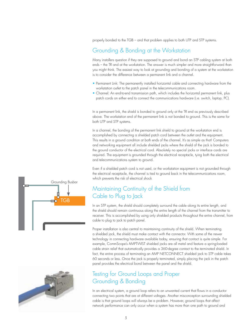properly bonded to the TGB – and that problem applies to both UTP and STP systems.

#### Grounding & Bonding at the Workstation

Many installers question if they are supposed to ground and bond an STP cabling system at both ends – the TR and at the workstation. The answer is much simpler and more straightforward than you might think. The easiest way to look at grounding and bonding of a system at the workstation is to consider the difference between a permanent link and a channel.

- Permanent Link: The permanently installed horizontal cable and connecting hardware from the workstation outlet to the patch panel in the telecommunications room.
- Channel: An end-to-end transmission path, which includes the horizontal permanent link, plus patch cords on either end to connect the communications hardware (i.e. switch, laptop, PC).

In a permanent link, the shield is bonded to ground only at the TR end as previously described above. The workstation end of the permanent link is not bonded to ground. This is the same for both UTP and STP systems.

In a channel, the bonding of the permanent link shield to ground at the workstation end is accomplished by connecting a shielded patch cord between the outlet and the equipment. This results in a ground condition at both ends of the channel. It's as simple as that! Computers and networking equipment all include shielded jacks where the shield of the jack is bonded to the ground conductor of the electrical cord. Absolutely no special jacks or interface cards are required. The equipment is grounded through the electrical receptacle, tying both the electrical and telecommunications system to ground.

Even if a shielded patch cord is not used, or the workstation equipment is not grounded through the electrical receptacle, the channel is tied to ground back in the telecommunications room, which prevents the risk of electrical shock

## Maintaining Continuity of the Shield from Cable to Plug to Jack

In an STP system, the shield should completely surround the cable along its entire length, and the shield should remain continuous along the entire length of the channel from the transmitter to receiver. This is accomplished by using only shielded products throughout the entire channel, from cable to plug to jack to patch panel.

Proper installation is also central to maintaining continuity of the shield. When terminating a shielded jack, the shield must make contact with the connector. With some of the newer technology in connecting hardware available today, ensuring that contact is quite simple. For example, CommScope's AMPTWIST shielded jacks are all metal and feature a spring-loaded cable strain relief that automatically provides a 360-degree contact to the terminated shield. In fact, the entire process of terminating an AMP NETCONNECT shielded jack to STP cable takes 60 seconds or less. Once the jack is properly terminated, simply placing the jack in the patch panel provides the electrical bond between the panel and the shield.

## Testing for Ground Loops and Proper Grounding & Bonding

In an electrical system, a ground loop refers to an unwanted current that flows in a conductor connecting two points that are at different voltages. Another misconception surrounding shielded cable is that ground loops will always be a problem. However, ground loops that affect network performance can only occur when a system has more than one path to ground and